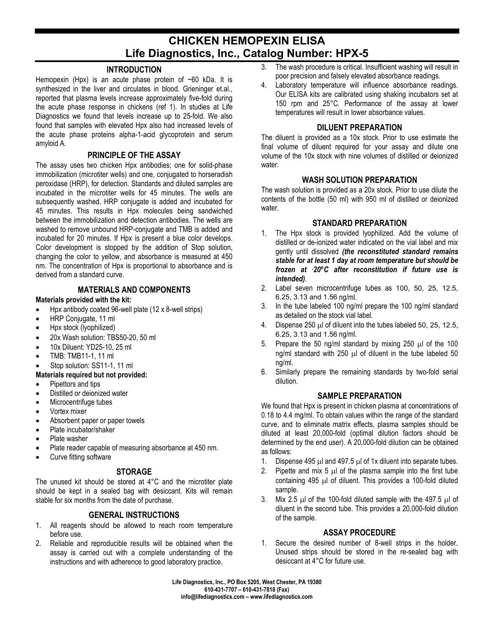# **CHICKEN HEMOPEXIN ELISA Life Diagnostics, Inc., Catalog Number: HPX-5**

## **INTRODUCTION**

Hemopexin (Hpx) is an acute phase protein of  $\sim 60$  kDa. It is synthesized in the liver and circulates in blood. Grieninger et.al., reported that plasma levels increase approximately five-fold during the acute phase response in chickens (ref 1). In studies at Life Diagnostics we found that levels increase up to 25-fold. We also found that samples with elevated Hpx also had increased levels of the acute phase proteins alpha-1-acid glycoprotein and serum amyloid A.

#### **PRINCIPLE OF THE ASSAY**

The assay uses two chicken Hpx antibodies; one for solid-phase immobilization (microtiter wells) and one, conjugated to horseradish peroxidase (HRP), for detection. Standards and diluted samples are incubated in the microtiter wells for 45 minutes. The wells are subsequently washed. HRP conjugate is added and incubated for 45 minutes. This results in Hpx molecules being sandwiched between the immobilization and detection antibodies. The wells are washed to remove unbound HRP-conjugate and TMB is added and incubated for 20 minutes. If Hpx is present a blue color develops. Color development is stopped by the addition of Stop solution, changing the color to yellow, and absorbance is measured at 450 nm. The concentration of Hpx is proportional to absorbance and is derived from a standard curve.

# **MATERIALS AND COMPONENTS**

#### **Materials provided with the kit:**

- Hpx antibody coated 96-well plate (12 x 8-well strips)
- HRP Conjugate, 11 ml
- Hpx stock (lyophilized)
- 20x Wash solution: TBS50-20, 50 ml
- 10x Diluent: YD25-10, 25 ml
- TMB: TMB11-1, 11 ml
- Stop solution: SS11-1, 11 ml

#### **Materials required but not provided:**

- Pipettors and tips
- Distilled or deionized water
- Microcentrifuge tubes
- Vortex mixer
- Absorbent paper or paper towels
- Plate incubator/shaker
- Plate washer
- Plate reader capable of measuring absorbance at 450 nm.
- Curve fitting software

# **STORAGE**

The unused kit should be stored at 4°C and the microtiter plate should be kept in a sealed bag with desiccant. Kits will remain stable for six months from the date of purchase.

## **GENERAL INSTRUCTIONS**

- 1. All reagents should be allowed to reach room temperature before use.
- 2. Reliable and reproducible results will be obtained when the assay is carried out with a complete understanding of the instructions and with adherence to good laboratory practice.
- 3. The wash procedure is critical. Insufficient washing will result in poor precision and falsely elevated absorbance readings.
- 4. Laboratory temperature will influence absorbance readings. Our ELISA kits are calibrated using shaking incubators set at 150 rpm and 25°C. Performance of the assay at lower temperatures will result in lower absorbance values.

## **DILUENT PREPARATION**

The diluent is provided as a 10x stock. Prior to use estimate the final volume of diluent required for your assay and dilute one volume of the 10x stock with nine volumes of distilled or deionized water.

## **WASH SOLUTION PREPARATION**

The wash solution is provided as a 20x stock. Prior to use dilute the contents of the bottle (50 ml) with 950 ml of distilled or deionized water.

#### **STANDARD PREPARATION**

- 1. The Hpx stock is provided lyophilized. Add the volume of distilled or de-ionized water indicated on the vial label and mix gently until dissolved *(the reconstituted standard remains stable for at least 1 day at room temperature but should be frozen at - 20°C after reconstitution if future use is intended)*.
- 2. Label seven microcentrifuge tubes as 100, 50, 25, 12.5, 6.25, 3.13 and 1.56 ng/ml.
- 3. In the tube labeled 100 ng/ml prepare the 100 ng/ml standard as detailed on the stock vial label.
- 4. Dispense 250 µl of diluent into the tubes labeled 50, 25, 12.5, 6.25, 3.13 and 1.56 ng/ml.
- 5. Prepare the 50 ng/ml standard by mixing  $250 \mu$  of the 100 ng/ml standard with 250  $\mu$ l of diluent in the tube labeled 50 ng/ml.
- 6. Similarly prepare the remaining standards by two-fold serial dilution.

#### **SAMPLE PREPARATION**

We found that Hpx is present in chicken plasma at concentrations of 0.18 to 4.4 mg/ml. To obtain values within the range of the standard curve, and to eliminate matrix effects, plasma samples should be diluted at least 20,000-fold (optimal dilution factors should be determined by the end user). A 20,000-fold dilution can be obtained as follows:

- 1. Dispense 495 µl and 497.5 µl of 1x diluent into separate tubes.
- 2. Pipette and mix  $5 \mu$  of the plasma sample into the first tube containing 495 µl of diluent. This provides a 100-fold diluted sample.
- 3. Mix 2.5 µl of the 100-fold diluted sample with the 497.5 µl of diluent in the second tube. This provides a 20,000-fold dilution of the sample.

## **ASSAY PROCEDURE**

1. Secure the desired number of 8-well strips in the holder. Unused strips should be stored in the re-sealed bag with desiccant at 4°C for future use.

**Life Diagnostics, Inc., PO Box 5205, West Chester, PA 19380 610-431-7707 – 610-431-7818 (Fax) info@lifediagnostics.com – www.lifediagnostics.com**